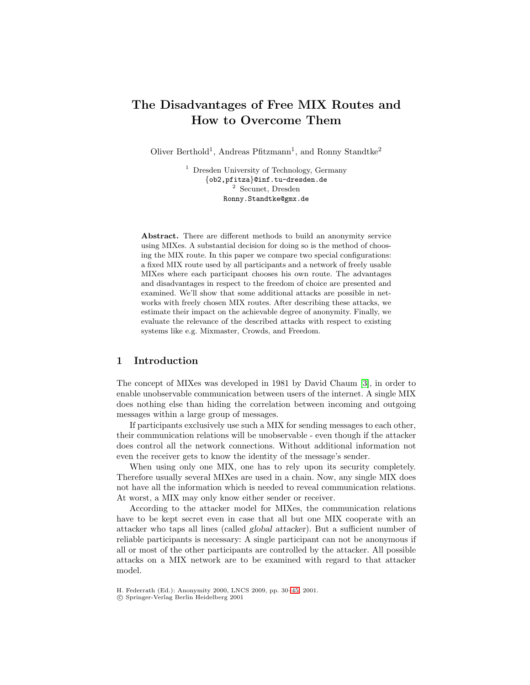# **The Disadvantages of Free MIX Routes and How to Overcome Them**

Oliver Berthold<sup>1</sup>, Andreas Pfitzmann<sup>1</sup>, and Ronny Standtke<sup>2</sup>

 $^{\rm 1}$  Dresden University of Technology, Germany {ob2,pfitza}@inf.tu-dresden.de <sup>2</sup> Secunet, Dresden Ronny.Standtke@gmx.de

**Abstract.** There are different methods to build an anonymity service using MIXes. A substantial decision for doing so is the method of choosing the MIX route. In this paper we compare two special configurations: a fixed MIX route used by all participants and a network of freely usable MIXes where each participant chooses his own route. The advantages and disadvantages in respect to the freedom of choice are presented and examined. We'll show that some additional attacks are possible in networks with freely chosen MIX routes. After describing these attacks, we estimate their impact on the achievable degree of anonymity. Finally, we evaluate the relevance of the described attacks with respect to existing systems like e.g. Mixmaster, Crowds, and Freedom.

# **1 Introduction**

The concept of MIXes was developed in 1981 by David Chaum [\[3\]](#page-15-0), in order to enable unobservable communication between users of the internet. A single MIX does nothing else than hiding the correlation between incoming and outgoing messages within a large group of messages.

If participants exclusively use such a MIX for sending messages to each other, their communication relations will be unobservable - even though if the attacker does control all the network connections. Without additional information not even the receiver gets to know the identity of the message's sender.

When using only one MIX, one has to rely upon its security completely. Therefore usually several MIXes are used in a chain. Now, any single MIX does not have all the information which is needed to reveal communication relations. At worst, a MIX may only know either sender or receiver.

According to the attacker model for MIXes, the communication relations have to be kept secret even in case that all but one MIX cooperate with an attacker who taps all lines (called global attacker). But a sufficient number of reliable participants is necessary: A single participant can not be anonymous if all or most of the other participants are controlled by the attacker. All possible attacks on a MIX network are to be examined with regard to that attacker model.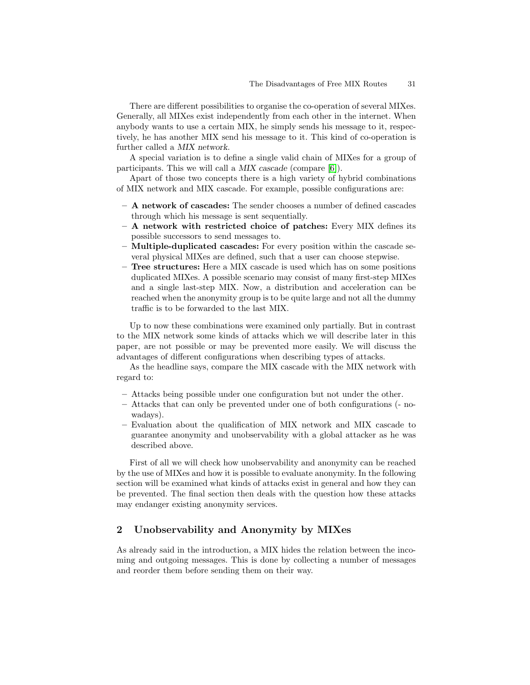There are different possibilities to organise the co-operation of several MIXes. Generally, all MIXes exist independently from each other in the internet. When anybody wants to use a certain MIX, he simply sends his message to it, respectively, he has another MIX send his message to it. This kind of co-operation is further called a MIX network.

A special variation is to define a single valid chain of MIXes for a group of participants. This we will call a MIX cascade (compare [\[6\]](#page-15-0)).

Apart of those two concepts there is a high variety of hybrid combinations of MIX network and MIX cascade. For example, possible configurations are:

- **A network of cascades:** The sender chooses a number of defined cascades through which his message is sent sequentially.
- **A network with restricted choice of patches:** Every MIX defines its possible successors to send messages to.
- **Multiple-duplicated cascades:** For every position within the cascade several physical MIXes are defined, such that a user can choose stepwise.
- **Tree structures:** Here a MIX cascade is used which has on some positions duplicated MIXes. A possible scenario may consist of many first-step MIXes and a single last-step MIX. Now, a distribution and acceleration can be reached when the anonymity group is to be quite large and not all the dummy traffic is to be forwarded to the last MIX.

Up to now these combinations were examined only partially. But in contrast to the MIX network some kinds of attacks which we will describe later in this paper, are not possible or may be prevented more easily. We will discuss the advantages of different configurations when describing types of attacks.

As the headline says, compare the MIX cascade with the MIX network with regard to:

- **–** Attacks being possible under one configuration but not under the other.
- **–** Attacks that can only be prevented under one of both configurations (- nowadays).
- **–** Evaluation about the qualification of MIX network and MIX cascade to guarantee anonymity and unobservability with a global attacker as he was described above.

First of all we will check how unobservability and anonymity can be reached by the use of MIXes and how it is possible to evaluate anonymity. In the following section will be examined what kinds of attacks exist in general and how they can be prevented. The final section then deals with the question how these attacks may endanger existing anonymity services.

# **2 Unobservability and Anonymity by MIXes**

As already said in the introduction, a MIX hides the relation between the incoming and outgoing messages. This is done by collecting a number of messages and reorder them before sending them on their way.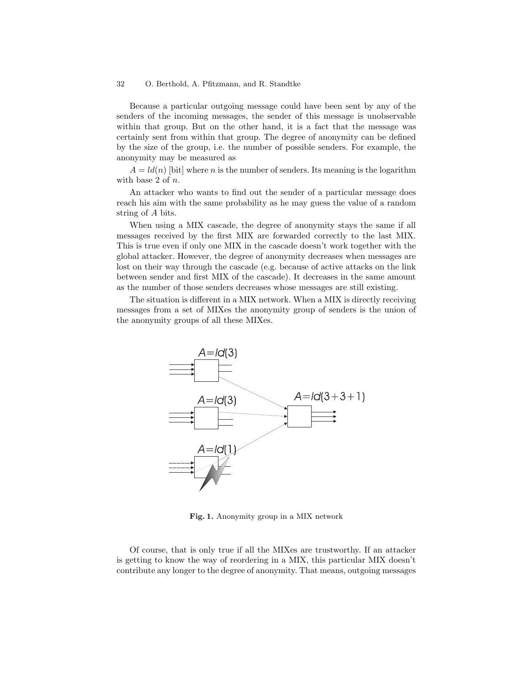Because a particular outgoing message could have been sent by any of the senders of the incoming messages, the sender of this message is unobservable within that group. But on the other hand, it is a fact that the message was certainly sent from within that group. The degree of anonymity can be defined by the size of the group, i.e. the number of possible senders. For example, the anonymity may be measured as

 $A = ld(n)$  [bit] where *n* is the number of senders. Its meaning is the logarithm with base 2 of  $n$ .

An attacker who wants to find out the sender of a particular message does reach his aim with the same probability as he may guess the value of a random string of A bits.

When using a MIX cascade, the degree of anonymity stays the same if all messages received by the first MIX are forwarded correctly to the last MIX. This is true even if only one MIX in the cascade doesn't work together with the global attacker. However, the degree of anonymity decreases when messages are lost on their way through the cascade (e.g. because of active attacks on the link between sender and first MIX of the cascade). It decreases in the same amount as the number of those senders decreases whose messages are still existing.

The situation is different in a MIX network. When a MIX is directly receiving messages from a set of MIXes the anonymity group of senders is the union of the anonymity groups of all these MIXes.



**Fig. 1.** Anonymity group in a MIX network

Of course, that is only true if all the MIXes are trustworthy. If an attacker is getting to know the way of reordering in a MIX, this particular MIX doesn't contribute any longer to the degree of anonymity. That means, outgoing messages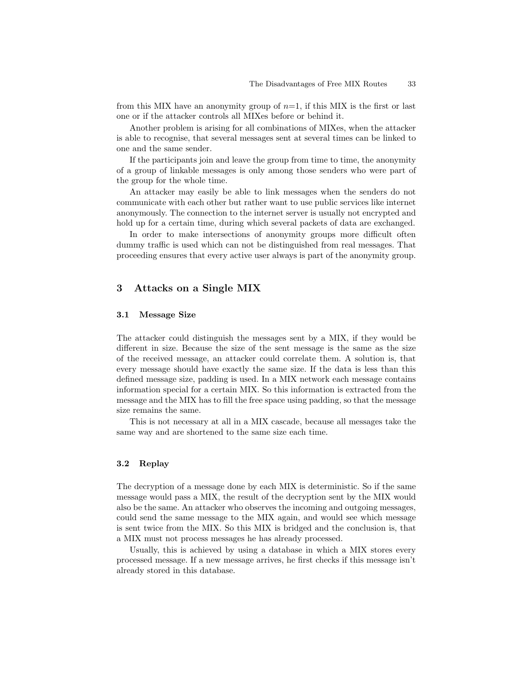from this MIX have an anonymity group of  $n=1$ , if this MIX is the first or last one or if the attacker controls all MIXes before or behind it.

Another problem is arising for all combinations of MIXes, when the attacker is able to recognise, that several messages sent at several times can be linked to one and the same sender.

If the participants join and leave the group from time to time, the anonymity of a group of linkable messages is only among those senders who were part of the group for the whole time.

An attacker may easily be able to link messages when the senders do not communicate with each other but rather want to use public services like internet anonymously. The connection to the internet server is usually not encrypted and hold up for a certain time, during which several packets of data are exchanged.

In order to make intersections of anonymity groups more difficult often dummy traffic is used which can not be distinguished from real messages. That proceeding ensures that every active user always is part of the anonymity group.

# **3 Attacks on a Single MIX**

#### **3.1 Message Size**

The attacker could distinguish the messages sent by a MIX, if they would be different in size. Because the size of the sent message is the same as the size of the received message, an attacker could correlate them. A solution is, that every message should have exactly the same size. If the data is less than this defined message size, padding is used. In a MIX network each message contains information special for a certain MIX. So this information is extracted from the message and the MIX has to fill the free space using padding, so that the message size remains the same.

This is not necessary at all in a MIX cascade, because all messages take the same way and are shortened to the same size each time.

#### **3.2 Replay**

The decryption of a message done by each MIX is deterministic. So if the same message would pass a MIX, the result of the decryption sent by the MIX would also be the same. An attacker who observes the incoming and outgoing messages, could send the same message to the MIX again, and would see which message is sent twice from the MIX. So this MIX is bridged and the conclusion is, that a MIX must not process messages he has already processed.

Usually, this is achieved by using a database in which a MIX stores every processed message. If a new message arrives, he first checks if this message isn't already stored in this database.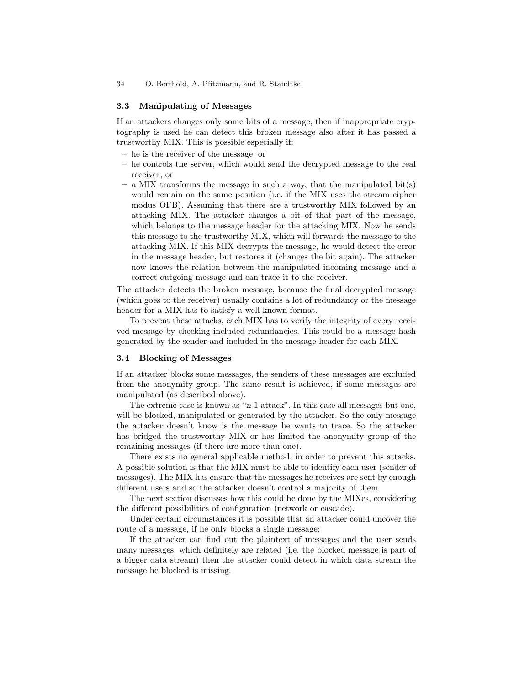#### **3.3 Manipulating of Messages**

If an attackers changes only some bits of a message, then if inappropriate cryptography is used he can detect this broken message also after it has passed a trustworthy MIX. This is possible especially if:

- **–** he is the receiver of the message, or
- **–** he controls the server, which would send the decrypted message to the real receiver, or
- **–** a MIX transforms the message in such a way, that the manipulated bit(s) would remain on the same position (i.e. if the MIX uses the stream cipher modus OFB). Assuming that there are a trustworthy MIX followed by an attacking MIX. The attacker changes a bit of that part of the message, which belongs to the message header for the attacking MIX. Now he sends this message to the trustworthy MIX, which will forwards the message to the attacking MIX. If this MIX decrypts the message, he would detect the error in the message header, but restores it (changes the bit again). The attacker now knows the relation between the manipulated incoming message and a correct outgoing message and can trace it to the receiver.

The attacker detects the broken message, because the final decrypted message (which goes to the receiver) usually contains a lot of redundancy or the message header for a MIX has to satisfy a well known format.

To prevent these attacks, each MIX has to verify the integrity of every received message by checking included redundancies. This could be a message hash generated by the sender and included in the message header for each MIX.

#### **3.4 Blocking of Messages**

If an attacker blocks some messages, the senders of these messages are excluded from the anonymity group. The same result is achieved, if some messages are manipulated (as described above).

The extreme case is known as "n-1 attack". In this case all messages but one, will be blocked, manipulated or generated by the attacker. So the only message the attacker doesn't know is the message he wants to trace. So the attacker has bridged the trustworthy MIX or has limited the anonymity group of the remaining messages (if there are more than one).

There exists no general applicable method, in order to prevent this attacks. A possible solution is that the MIX must be able to identify each user (sender of messages). The MIX has ensure that the messages he receives are sent by enough different users and so the attacker doesn't control a majority of them.

The next section discusses how this could be done by the MIXes, considering the different possibilities of configuration (network or cascade).

Under certain circumstances it is possible that an attacker could uncover the route of a message, if he only blocks a single message:

If the attacker can find out the plaintext of messages and the user sends many messages, which definitely are related (i.e. the blocked message is part of a bigger data stream) then the attacker could detect in which data stream the message he blocked is missing.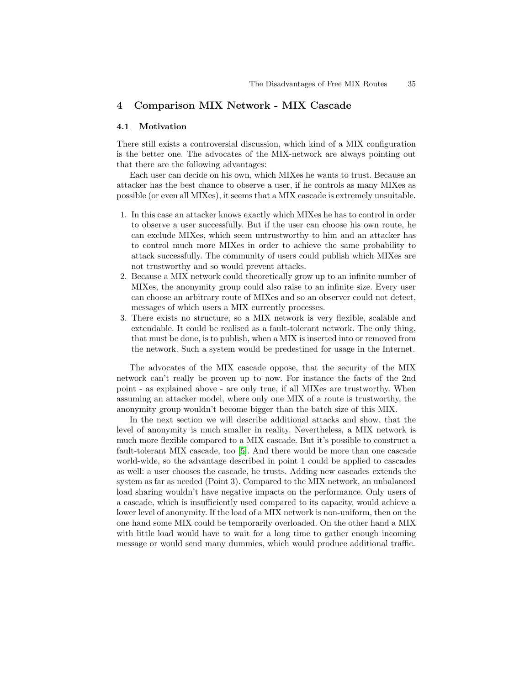### **4 Comparison MIX Network - MIX Cascade**

#### **4.1 Motivation**

There still exists a controversial discussion, which kind of a MIX configuration is the better one. The advocates of the MIX-network are always pointing out that there are the following advantages:

Each user can decide on his own, which MIXes he wants to trust. Because an attacker has the best chance to observe a user, if he controls as many MIXes as possible (or even all MIXes), it seems that a MIX cascade is extremely unsuitable.

- 1. In this case an attacker knows exactly which MIXes he has to control in order to observe a user successfully. But if the user can choose his own route, he can exclude MIXes, which seem untrustworthy to him and an attacker has to control much more MIXes in order to achieve the same probability to attack successfully. The community of users could publish which MIXes are not trustworthy and so would prevent attacks.
- 2. Because a MIX network could theoretically grow up to an infinite number of MIXes, the anonymity group could also raise to an infinite size. Every user can choose an arbitrary route of MIXes and so an observer could not detect, messages of which users a MIX currently processes.
- 3. There exists no structure, so a MIX network is very flexible, scalable and extendable. It could be realised as a fault-tolerant network. The only thing, that must be done, is to publish, when a MIX is inserted into or removed from the network. Such a system would be predestined for usage in the Internet.

The advocates of the MIX cascade oppose, that the security of the MIX network can't really be proven up to now. For instance the facts of the 2nd point - as explained above - are only true, if all MIXes are trustworthy. When assuming an attacker model, where only one MIX of a route is trustworthy, the anonymity group wouldn't become bigger than the batch size of this MIX.

In the next section we will describe additional attacks and show, that the level of anonymity is much smaller in reality. Nevertheless, a MIX network is much more flexible compared to a MIX cascade. But it's possible to construct a fault-tolerant MIX cascade, too [\[5\]](#page-15-0). And there would be more than one cascade world-wide, so the advantage described in point 1 could be applied to cascades as well: a user chooses the cascade, he trusts. Adding new cascades extends the system as far as needed (Point 3). Compared to the MIX network, an unbalanced load sharing wouldn't have negative impacts on the performance. Only users of a cascade, which is insufficiently used compared to its capacity, would achieve a lower level of anonymity. If the load of a MIX network is non-uniform, then on the one hand some MIX could be temporarily overloaded. On the other hand a MIX with little load would have to wait for a long time to gather enough incoming message or would send many dummies, which would produce additional traffic.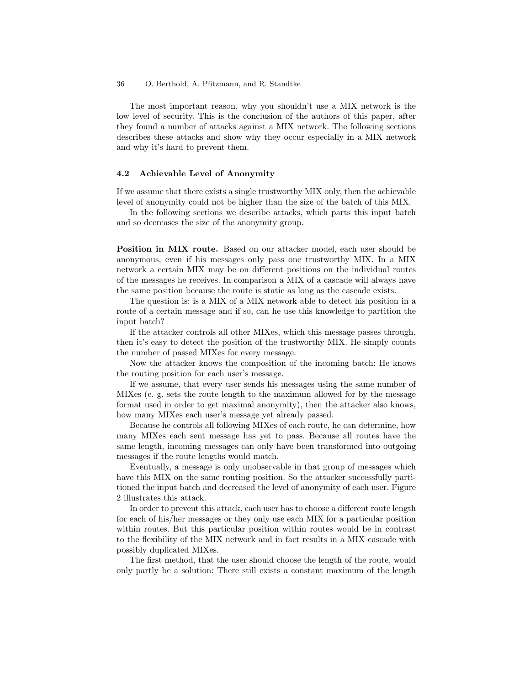The most important reason, why you shouldn't use a MIX network is the low level of security. This is the conclusion of the authors of this paper, after they found a number of attacks against a MIX network. The following sections describes these attacks and show why they occur especially in a MIX network and why it's hard to prevent them.

#### **4.2 Achievable Level of Anonymity**

If we assume that there exists a single trustworthy MIX only, then the achievable level of anonymity could not be higher than the size of the batch of this MIX.

In the following sections we describe attacks, which parts this input batch and so decreases the size of the anonymity group.

**Position in MIX route.** Based on our attacker model, each user should be anonymous, even if his messages only pass one trustworthy MIX. In a MIX network a certain MIX may be on different positions on the individual routes of the messages he receives. In comparison a MIX of a cascade will always have the same position because the route is static as long as the cascade exists.

The question is: is a MIX of a MIX network able to detect his position in a route of a certain message and if so, can he use this knowledge to partition the input batch?

If the attacker controls all other MIXes, which this message passes through, then it's easy to detect the position of the trustworthy MIX. He simply counts the number of passed MIXes for every message.

Now the attacker knows the composition of the incoming batch: He knows the routing position for each user's message.

If we assume, that every user sends his messages using the same number of MIXes (e. g. sets the route length to the maximum allowed for by the message format used in order to get maximal anonymity), then the attacker also knows, how many MIXes each user's message yet already passed.

Because he controls all following MIXes of each route, he can determine, how many MIXes each sent message has yet to pass. Because all routes have the same length, incoming messages can only have been transformed into outgoing messages if the route lengths would match.

Eventually, a message is only unobservable in that group of messages which have this MIX on the same routing position. So the attacker successfully partitioned the input batch and decreased the level of anonymity of each user. Figure 2 illustrates this attack.

In order to prevent this attack, each user has to choose a different route length for each of his/her messages or they only use each MIX for a particular position within routes. But this particular position within routes would be in contrast to the flexibility of the MIX network and in fact results in a MIX cascade with possibly duplicated MIXes.

The first method, that the user should choose the length of the route, would only partly be a solution: There still exists a constant maximum of the length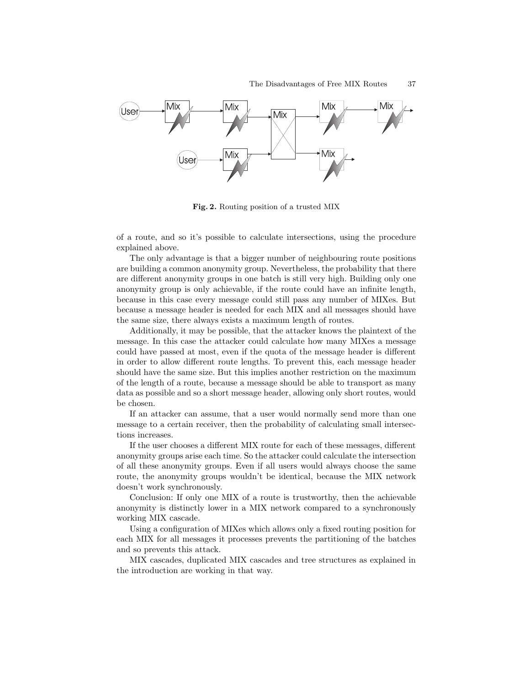

**Fig. 2.** Routing position of a trusted MIX

of a route, and so it's possible to calculate intersections, using the procedure explained above.

The only advantage is that a bigger number of neighbouring route positions are building a common anonymity group. Nevertheless, the probability that there are different anonymity groups in one batch is still very high. Building only one anonymity group is only achievable, if the route could have an infinite length, because in this case every message could still pass any number of MIXes. But because a message header is needed for each MIX and all messages should have the same size, there always exists a maximum length of routes.

Additionally, it may be possible, that the attacker knows the plaintext of the message. In this case the attacker could calculate how many MIXes a message could have passed at most, even if the quota of the message header is different in order to allow different route lengths. To prevent this, each message header should have the same size. But this implies another restriction on the maximum of the length of a route, because a message should be able to transport as many data as possible and so a short message header, allowing only short routes, would be chosen.

If an attacker can assume, that a user would normally send more than one message to a certain receiver, then the probability of calculating small intersections increases.

If the user chooses a different MIX route for each of these messages, different anonymity groups arise each time. So the attacker could calculate the intersection of all these anonymity groups. Even if all users would always choose the same route, the anonymity groups wouldn't be identical, because the MIX network doesn't work synchronously.

Conclusion: If only one MIX of a route is trustworthy, then the achievable anonymity is distinctly lower in a MIX network compared to a synchronously working MIX cascade.

Using a configuration of MIXes which allows only a fixed routing position for each MIX for all messages it processes prevents the partitioning of the batches and so prevents this attack.

MIX cascades, duplicated MIX cascades and tree structures as explained in the introduction are working in that way.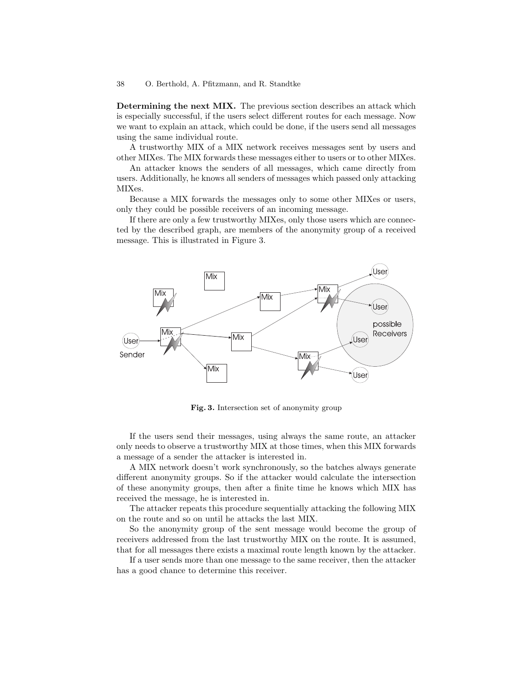**Determining the next MIX.** The previous section describes an attack which is especially successful, if the users select different routes for each message. Now we want to explain an attack, which could be done, if the users send all messages using the same individual route.

A trustworthy MIX of a MIX network receives messages sent by users and other MIXes. The MIX forwards these messages either to users or to other MIXes.

An attacker knows the senders of all messages, which came directly from users. Additionally, he knows all senders of messages which passed only attacking MIXes.

Because a MIX forwards the messages only to some other MIXes or users, only they could be possible receivers of an incoming message.

If there are only a few trustworthy MIXes, only those users which are connected by the described graph, are members of the anonymity group of a received message. This is illustrated in Figure 3.



**Fig. 3.** Intersection set of anonymity group

If the users send their messages, using always the same route, an attacker only needs to observe a trustworthy MIX at those times, when this MIX forwards a message of a sender the attacker is interested in.

A MIX network doesn't work synchronously, so the batches always generate different anonymity groups. So if the attacker would calculate the intersection of these anonymity groups, then after a finite time he knows which MIX has received the message, he is interested in.

The attacker repeats this procedure sequentially attacking the following MIX on the route and so on until he attacks the last MIX.

So the anonymity group of the sent message would become the group of receivers addressed from the last trustworthy MIX on the route. It is assumed, that for all messages there exists a maximal route length known by the attacker.

If a user sends more than one message to the same receiver, then the attacker has a good chance to determine this receiver.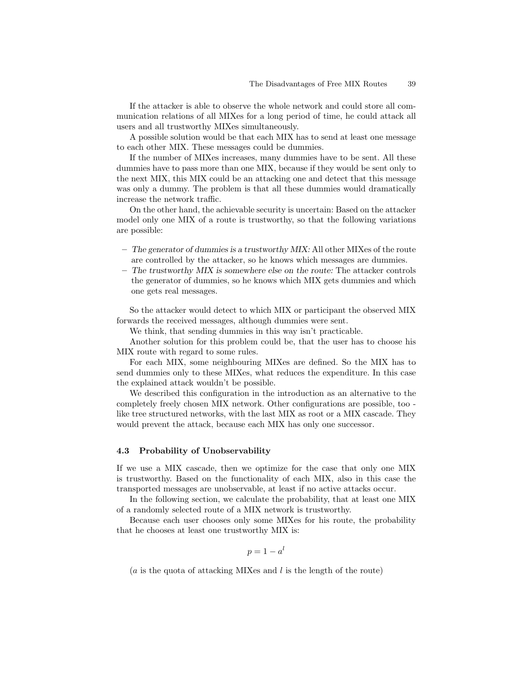If the attacker is able to observe the whole network and could store all communication relations of all MIXes for a long period of time, he could attack all users and all trustworthy MIXes simultaneously.

A possible solution would be that each MIX has to send at least one message to each other MIX. These messages could be dummies.

If the number of MIXes increases, many dummies have to be sent. All these dummies have to pass more than one MIX, because if they would be sent only to the next MIX, this MIX could be an attacking one and detect that this message was only a dummy. The problem is that all these dummies would dramatically increase the network traffic.

On the other hand, the achievable security is uncertain: Based on the attacker model only one MIX of a route is trustworthy, so that the following variations are possible:

- **–** The generator of dummies is a trustworthy MIX: All other MIXes of the route are controlled by the attacker, so he knows which messages are dummies.
- **–** The trustworthy MIX is somewhere else on the route: The attacker controls the generator of dummies, so he knows which MIX gets dummies and which one gets real messages.

So the attacker would detect to which MIX or participant the observed MIX forwards the received messages, although dummies were sent.

We think, that sending dummies in this way isn't practicable.

Another solution for this problem could be, that the user has to choose his MIX route with regard to some rules.

For each MIX, some neighbouring MIXes are defined. So the MIX has to send dummies only to these MIXes, what reduces the expenditure. In this case the explained attack wouldn't be possible.

We described this configuration in the introduction as an alternative to the completely freely chosen MIX network. Other configurations are possible, too like tree structured networks, with the last MIX as root or a MIX cascade. They would prevent the attack, because each MIX has only one successor.

#### **4.3 Probability of Unobservability**

If we use a MIX cascade, then we optimize for the case that only one MIX is trustworthy. Based on the functionality of each MIX, also in this case the transported messages are unobservable, at least if no active attacks occur.

In the following section, we calculate the probability, that at least one MIX of a randomly selected route of a MIX network is trustworthy.

Because each user chooses only some MIXes for his route, the probability that he chooses at least one trustworthy MIX is:

$$
p=1-a^l
$$

(*a* is the quota of attacking MIXes and *l* is the length of the route)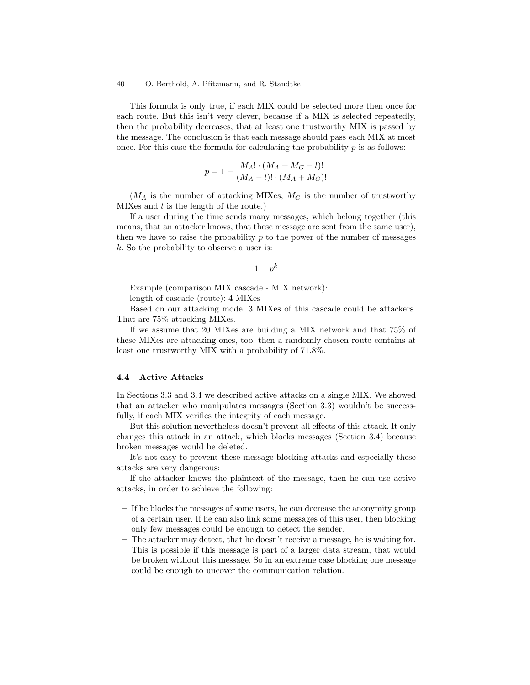This formula is only true, if each MIX could be selected more then once for each route. But this isn't very clever, because if a MIX is selected repeatedly, then the probability decreases, that at least one trustworthy MIX is passed by the message. The conclusion is that each message should pass each MIX at most once. For this case the formula for calculating the probability  $p$  is as follows:

$$
p = 1 - \frac{M_A! \cdot (M_A + M_G - l)!}{(M_A - l)! \cdot (M_A + M_G)!}
$$

 $(M_A)$  is the number of attacking MIXes,  $M_G$  is the number of trustworthy MIXes and  $l$  is the length of the route.)

If a user during the time sends many messages, which belong together (this means, that an attacker knows, that these message are sent from the same user), then we have to raise the probability  $p$  to the power of the number of messages k. So the probability to observe a user is:

$$
1-p^k
$$

Example (comparison MIX cascade - MIX network):

length of cascade (route): 4 MIXes

Based on our attacking model 3 MIXes of this cascade could be attackers. That are 75% attacking MIXes.

If we assume that 20 MIXes are building a MIX network and that 75% of these MIXes are attacking ones, too, then a randomly chosen route contains at least one trustworthy MIX with a probability of 71.8%.

#### **4.4 Active Attacks**

In Sections 3.3 and 3.4 we described active attacks on a single MIX. We showed that an attacker who manipulates messages (Section 3.3) wouldn't be successfully, if each MIX verifies the integrity of each message.

But this solution nevertheless doesn't prevent all effects of this attack. It only changes this attack in an attack, which blocks messages (Section 3.4) because broken messages would be deleted.

It's not easy to prevent these message blocking attacks and especially these attacks are very dangerous:

If the attacker knows the plaintext of the message, then he can use active attacks, in order to achieve the following:

- **–** If he blocks the messages of some users, he can decrease the anonymity group of a certain user. If he can also link some messages of this user, then blocking only few messages could be enough to detect the sender.
- **–** The attacker may detect, that he doesn't receive a message, he is waiting for. This is possible if this message is part of a larger data stream, that would be broken without this message. So in an extreme case blocking one message could be enough to uncover the communication relation.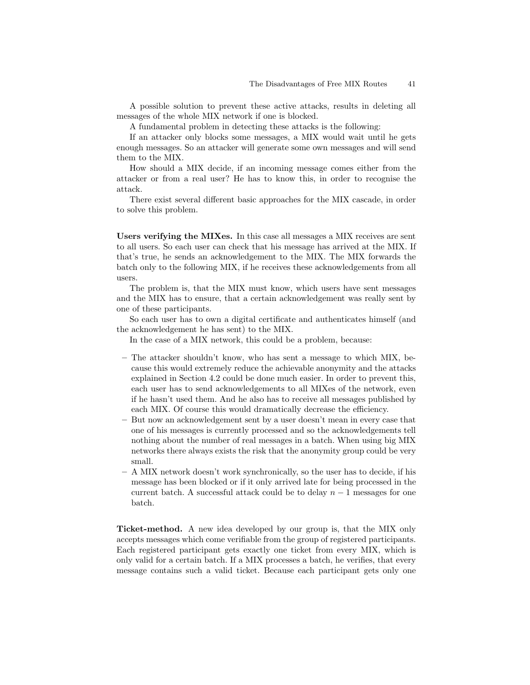A possible solution to prevent these active attacks, results in deleting all messages of the whole MIX network if one is blocked.

A fundamental problem in detecting these attacks is the following:

If an attacker only blocks some messages, a MIX would wait until he gets enough messages. So an attacker will generate some own messages and will send them to the MIX.

How should a MIX decide, if an incoming message comes either from the attacker or from a real user? He has to know this, in order to recognise the attack.

There exist several different basic approaches for the MIX cascade, in order to solve this problem.

**Users verifying the MIXes.** In this case all messages a MIX receives are sent to all users. So each user can check that his message has arrived at the MIX. If that's true, he sends an acknowledgement to the MIX. The MIX forwards the batch only to the following MIX, if he receives these acknowledgements from all users.

The problem is, that the MIX must know, which users have sent messages and the MIX has to ensure, that a certain acknowledgement was really sent by one of these participants.

So each user has to own a digital certificate and authenticates himself (and the acknowledgement he has sent) to the MIX.

In the case of a MIX network, this could be a problem, because:

- **–** The attacker shouldn't know, who has sent a message to which MIX, because this would extremely reduce the achievable anonymity and the attacks explained in Section 4.2 could be done much easier. In order to prevent this, each user has to send acknowledgements to all MIXes of the network, even if he hasn't used them. And he also has to receive all messages published by each MIX. Of course this would dramatically decrease the efficiency.
- **–** But now an acknowledgement sent by a user doesn't mean in every case that one of his messages is currently processed and so the acknowledgements tell nothing about the number of real messages in a batch. When using big MIX networks there always exists the risk that the anonymity group could be very small.
- **–** A MIX network doesn't work synchronically, so the user has to decide, if his message has been blocked or if it only arrived late for being processed in the current batch. A successful attack could be to delay  $n-1$  messages for one batch.

**Ticket-method.** A new idea developed by our group is, that the MIX only accepts messages which come verifiable from the group of registered participants. Each registered participant gets exactly one ticket from every MIX, which is only valid for a certain batch. If a MIX processes a batch, he verifies, that every message contains such a valid ticket. Because each participant gets only one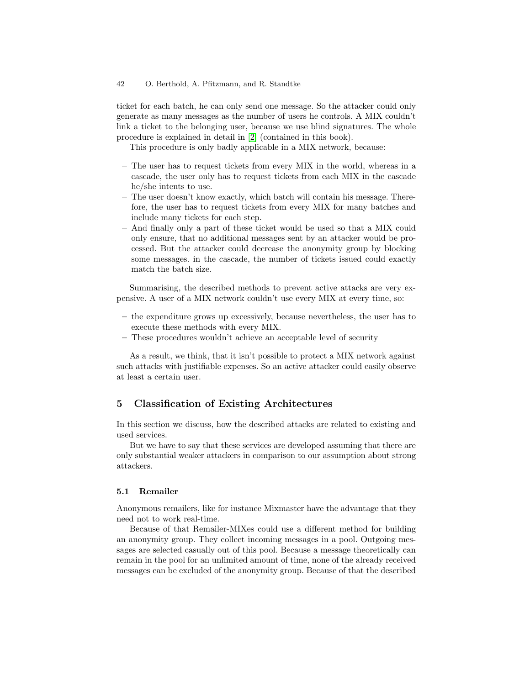ticket for each batch, he can only send one message. So the attacker could only generate as many messages as the number of users he controls. A MIX couldn't link a ticket to the belonging user, because we use blind signatures. The whole procedure is explained in detail in [\[2\]](#page-15-0) (contained in this book).

This procedure is only badly applicable in a MIX network, because:

- **–** The user has to request tickets from every MIX in the world, whereas in a cascade, the user only has to request tickets from each MIX in the cascade he/she intents to use.
- **–** The user doesn't know exactly, which batch will contain his message. Therefore, the user has to request tickets from every MIX for many batches and include many tickets for each step.
- **–** And finally only a part of these ticket would be used so that a MIX could only ensure, that no additional messages sent by an attacker would be processed. But the attacker could decrease the anonymity group by blocking some messages. in the cascade, the number of tickets issued could exactly match the batch size.

Summarising, the described methods to prevent active attacks are very expensive. A user of a MIX network couldn't use every MIX at every time, so:

- **–** the expenditure grows up excessively, because nevertheless, the user has to execute these methods with every MIX.
- **–** These procedures wouldn't achieve an acceptable level of security

As a result, we think, that it isn't possible to protect a MIX network against such attacks with justifiable expenses. So an active attacker could easily observe at least a certain user.

# **5 Classification of Existing Architectures**

In this section we discuss, how the described attacks are related to existing and used services.

But we have to say that these services are developed assuming that there are only substantial weaker attackers in comparison to our assumption about strong attackers.

### **5.1 Remailer**

Anonymous remailers, like for instance Mixmaster have the advantage that they need not to work real-time.

Because of that Remailer-MIXes could use a different method for building an anonymity group. They collect incoming messages in a pool. Outgoing messages are selected casually out of this pool. Because a message theoretically can remain in the pool for an unlimited amount of time, none of the already received messages can be excluded of the anonymity group. Because of that the described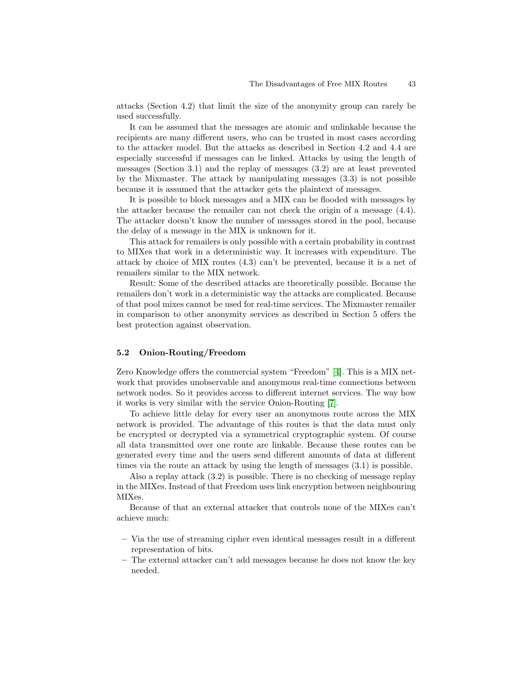attacks (Section 4.2) that limit the size of the anonymity group can rarely be used successfully.

It can be assumed that the messages are atomic and unlinkable because the recipients are many different users, who can be trusted in most cases according to the attacker model. But the attacks as described in Section 4.2 and 4.4 are especially successful if messages can be linked. Attacks by using the length of messages (Section 3.1) and the replay of messages (3.2) are at least prevented by the Mixmaster. The attack by manipulating messages (3.3) is not possible because it is assumed that the attacker gets the plaintext of messages.

It is possible to block messages and a MIX can be flooded with messages by the attacker because the remailer can not check the origin of a message (4.4). The attacker doesn't know the number of messages stored in the pool, because the delay of a message in the MIX is unknown for it.

This attack for remailers is only possible with a certain probability in contrast to MIXes that work in a deterministic way. It increases with expenditure. The attack by choice of MIX routes (4.3) can't be prevented, because it is a net of remailers similar to the MIX network.

Result: Some of the described attacks are theoretically possible. Because the remailers don't work in a deterministic way the attacks are complicated. Because of that pool mixes cannot be used for real-time services. The Mixmaster remailer in comparison to other anonymity services as described in Section 5 offers the best protection against observation.

#### **5.2 Onion-Routing/Freedom**

Zero Knowledge offers the commercial system "Freedom" [\[4\]](#page-15-0). This is a MIX network that provides unobservable and anonymous real-time connections between network nodes. So it provides access to different internet services. The way how it works is very similar with the service Onion-Routing [\[7\]](#page-15-0).

To achieve little delay for every user an anonymous route across the MIX network is provided. The advantage of this routes is that the data must only be encrypted or decrypted via a symmetrical cryptographic system. Of course all data transmitted over one route are linkable. Because these routes can be generated every time and the users send different amounts of data at different times via the route an attack by using the length of messages (3.1) is possible.

Also a replay attack (3.2) is possible. There is no checking of message replay in the MIXes. Instead of that Freedom uses link encryption between neighbouring MIXes.

Because of that an external attacker that controls none of the MIXes can't achieve much:

- **–** Via the use of streaming cipher even identical messages result in a different representation of bits.
- **–** The external attacker can't add messages because he does not know the key needed.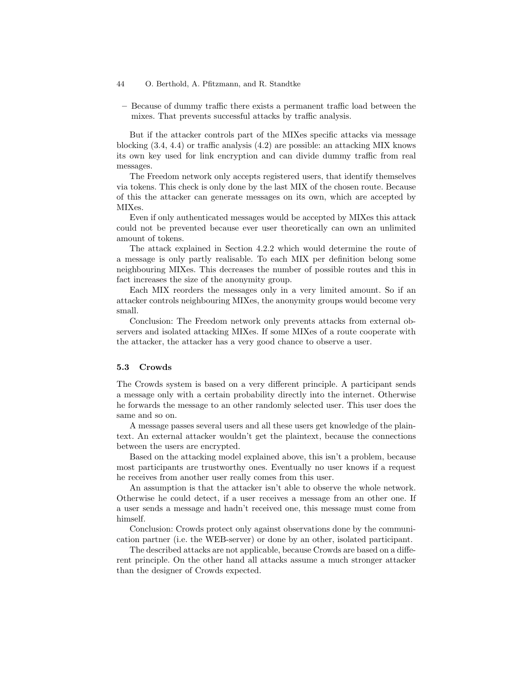**–** Because of dummy traffic there exists a permanent traffic load between the mixes. That prevents successful attacks by traffic analysis.

But if the attacker controls part of the MIXes specific attacks via message blocking (3.4, 4.4) or traffic analysis (4.2) are possible: an attacking MIX knows its own key used for link encryption and can divide dummy traffic from real messages.

The Freedom network only accepts registered users, that identify themselves via tokens. This check is only done by the last MIX of the chosen route. Because of this the attacker can generate messages on its own, which are accepted by MIXes.

Even if only authenticated messages would be accepted by MIXes this attack could not be prevented because ever user theoretically can own an unlimited amount of tokens.

The attack explained in Section 4.2.2 which would determine the route of a message is only partly realisable. To each MIX per definition belong some neighbouring MIXes. This decreases the number of possible routes and this in fact increases the size of the anonymity group.

Each MIX reorders the messages only in a very limited amount. So if an attacker controls neighbouring MIXes, the anonymity groups would become very small.

Conclusion: The Freedom network only prevents attacks from external observers and isolated attacking MIXes. If some MIXes of a route cooperate with the attacker, the attacker has a very good chance to observe a user.

### **5.3 Crowds**

The Crowds system is based on a very different principle. A participant sends a message only with a certain probability directly into the internet. Otherwise he forwards the message to an other randomly selected user. This user does the same and so on.

A message passes several users and all these users get knowledge of the plaintext. An external attacker wouldn't get the plaintext, because the connections between the users are encrypted.

Based on the attacking model explained above, this isn't a problem, because most participants are trustworthy ones. Eventually no user knows if a request he receives from another user really comes from this user.

An assumption is that the attacker isn't able to observe the whole network. Otherwise he could detect, if a user receives a message from an other one. If a user sends a message and hadn't received one, this message must come from himself.

Conclusion: Crowds protect only against observations done by the communication partner (i.e. the WEB-server) or done by an other, isolated participant.

The described attacks are not applicable, because Crowds are based on a different principle. On the other hand all attacks assume a much stronger attacker than the designer of Crowds expected.